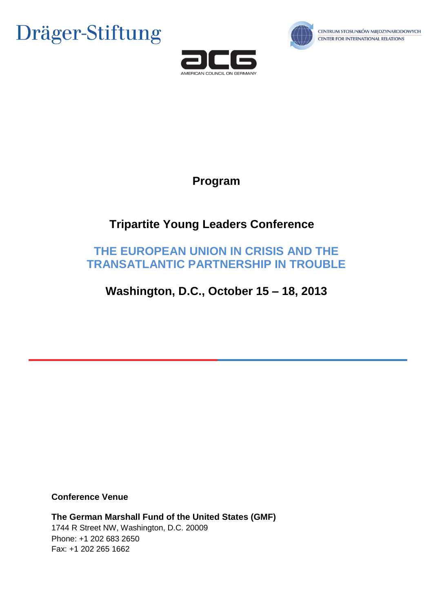





# **Program**

# **Tripartite Young Leaders Conference**

# **THE EUROPEAN UNION IN CRISIS AND THE TRANSATLANTIC PARTNERSHIP IN TROUBLE**

# **Washington, D.C., October 15 – 18, 2013**

## **Conference Venue**

**The German Marshall Fund of the United States (GMF)** 1744 R Street NW, Washington, D.C. 20009 Phone: +1 202 683 2650 Fax: +1 202 265 1662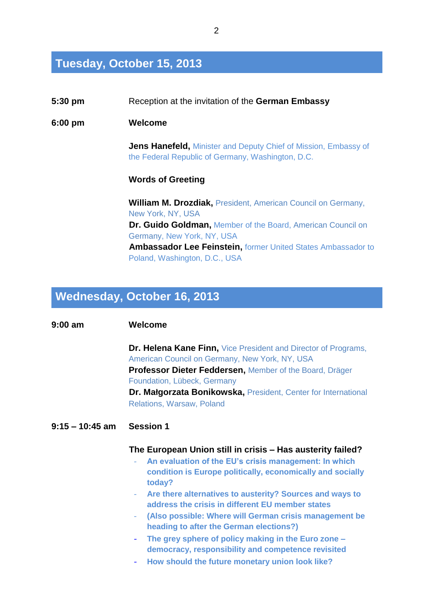# **Tuesday, October 15, 2013**

| $5:30$ pm         | Reception at the invitation of the German Embassy                                                                           |
|-------------------|-----------------------------------------------------------------------------------------------------------------------------|
| $6:00 \text{ pm}$ | Welcome                                                                                                                     |
|                   | <b>Jens Hanefeld, Minister and Deputy Chief of Mission, Embassy of</b><br>the Federal Republic of Germany, Washington, D.C. |
|                   | <b>Words of Greeting</b>                                                                                                    |
|                   | <b>William M. Drozdiak, President, American Council on Germany,</b><br>New York, NY, USA                                    |
|                   | <b>Dr. Guido Goldman, Member of the Board, American Council on</b><br>Germany, New York, NY, USA                            |
|                   | <b>Ambassador Lee Feinstein, former United States Ambassador to</b><br>Poland, Washington, D.C., USA                        |

# **Wednesday, October 16, 2013**

## **9:00 am Welcome**

**Dr. Helena Kane Finn,** Vice President and Director of Programs, American Council on Germany, New York, NY, USA **Professor Dieter Feddersen,** Member of the Board, Dräger Foundation, Lübeck, Germany **Dr. Małgorzata Bonikowska,** President, Center for International Relations, Warsaw, Poland

## **9:15 – 10:45 am Session 1**

### **The European Union still in crisis – Has austerity failed?**

- **An evaluation of the EU's crisis management: In which condition is Europe politically, economically and socially today?**
- **Are there alternatives to austerity? Sources and ways to address the crisis in different EU member states**
- **(Also possible: Where will German crisis management be heading to after the German elections?)**
- **The grey sphere of policy making in the Euro zone – democracy, responsibility and competence revisited**
- **How should the future monetary union look like?**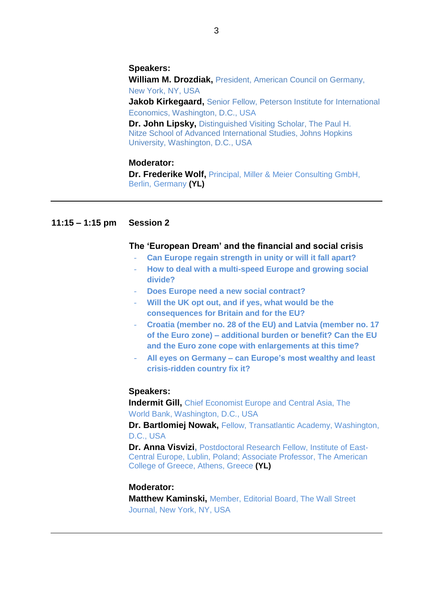#### **Speakers:**

**William M. Drozdiak,** President, American Council on Germany, New York, NY, USA

**Jakob Kirkegaard,** Senior Fellow, Peterson Institute for International Economics, Washington, D.C., USA

**Dr. John Lipsky,** Distinguished Visiting Scholar, The Paul H. Nitze School of Advanced International Studies, Johns Hopkins University, Washington, D.C., USA

### **Moderator:**

**Dr. Frederike Wolf,** Principal, Miller & Meier Consulting GmbH, Berlin, Germany **(YL)**

## **11:15 – 1:15 pm Session 2**

### **The 'European Dream' and the financial and social crisis**

- **Can Europe regain strength in unity or will it fall apart?**
- **How to deal with a multi-speed Europe and growing social divide?**
- **Does Europe need a new social contract?**
- **Will the UK opt out, and if yes, what would be the consequences for Britain and for the EU?**
- **Croatia (member no. 28 of the EU) and Latvia (member no. 17 of the Euro zone) – additional burden or benefit? Can the EU and the Euro zone cope with enlargements at this time?**
- **All eyes on Germany – can Europe's most wealthy and least crisis-ridden country fix it?**

#### **Speakers:**

**Indermit Gill,** Chief Economist Europe and Central Asia, The World Bank, Washington, D.C., USA

**Dr. Bartlomiej Nowak,** Fellow, Transatlantic Academy, Washington, D.C., USA

**Dr. Anna Visvizi,** Postdoctoral Research Fellow, Institute of East-Central Europe, Lublin, Poland; Associate Professor, The American College of Greece, Athens, Greece **(YL)**

## **Moderator:**

**Matthew Kaminski,** Member, Editorial Board, The Wall Street Journal, New York, NY, USA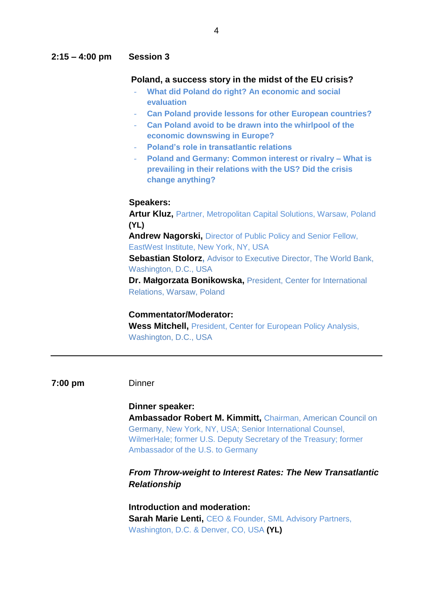### **2:15 – 4:00 pm Session 3**

#### **Poland, a success story in the midst of the EU crisis?**

- **What did Poland do right? An economic and social evaluation**
- **Can Poland provide lessons for other European countries?**
- **Can Poland avoid to be drawn into the whirlpool of the economic downswing in Europe?**
- **Poland's role in transatlantic relations**
- **Poland and Germany: Common interest or rivalry – What is prevailing in their relations with the US? Did the crisis change anything?**

## **Speakers:**

**Artur Kluz,** Partner, Metropolitan Capital Solutions, Warsaw, Poland **(YL) Andrew Nagorski,** Director of Public Policy and Senior Fellow, EastWest Institute, New York, NY, USA **Sebastian Stolorz, Advisor to Executive Director, The World Bank,** Washington, D.C., USA **Dr. Małgorzata Bonikowska,** President, Center for International

Relations, Warsaw, Poland

## **Commentator/Moderator:**

**Wess Mitchell,** President, Center for European Policy Analysis, Washington, D.C., USA

#### **7:00 pm** Dinner

### **Dinner speaker:**

**Ambassador Robert M. Kimmitt,** Chairman, American Council on Germany, New York, NY, USA; Senior International Counsel, WilmerHale; former U.S. Deputy Secretary of the Treasury; former Ambassador of the U.S. to Germany

## *From Throw-weight to Interest Rates: The New Transatlantic Relationship*

**Introduction and moderation: Sarah Marie Lenti,** CEO & Founder, SML Advisory Partners, Washington, D.C. & Denver, CO, USA **(YL)**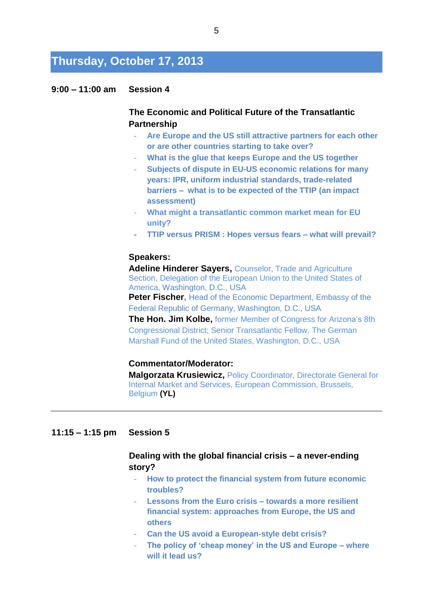# **Thursday, October 17, 2013**

## **9:00 – 11:00 am Session 4**

## **The Economic and Political Future of the Transatlantic Partnership**

- **Are Europe and the US still attractive partners for each other or are other countries starting to take over?**
- **What is the glue that keeps Europe and the US together**
- **Subjects of dispute in EU-US economic relations for many years: IPR, uniform industrial standards, trade-related barriers – what is to be expected of the TTIP (an impact assessment)**
- **What might a transatlantic common market mean for EU unity?**
- **TTIP versus PRISM : Hopes versus fears – what will prevail?**

#### **Speakers:**

**Adeline Hinderer Sayers,** Counselor, Trade and Agriculture Section, Delegation of the European Union to the United States of America, Washington, D.C., USA

**Peter Fischer, Head of the Economic Department, Embassy of the** Federal Republic of Germany, Washington, D.C., USA

**The Hon. Jim Kolbe,** former Member of Congress for Arizona's 8th Congressional District; Senior Transatlantic Fellow, The German Marshall Fund of the United States, Washington, D.C., USA

#### **Commentator/Moderator:**

**Malgorzata Krusiewicz,** Policy Coordinator, Directorate General for Internal Market and Services, European Commission, Brussels, Belgium **(YL)**

### **11:15 – 1:15 pm Session 5**

## **Dealing with the global financial crisis – a never-ending story?**

- **How to protect the financial system from future economic troubles?**
- Lessons from the Euro crisis towards a more resilient **financial system: approaches from Europe, the US and others**
- **Can the US avoid a European-style debt crisis?**
- **The policy of 'cheap money' in the US and Europe – where will it lead us?**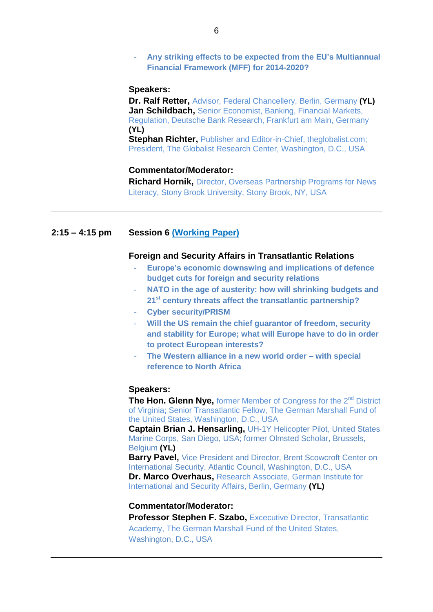### - **Any striking effects to be expected from the EU's Multiannual Financial Framework (MFF) for 2014-2020?**

#### **Speakers:**

**Dr. Ralf Retter,** Advisor, Federal Chancellery, Berlin, Germany **(YL) Jan Schildbach,** Senior Economist, Banking, Financial Markets, Regulation, Deutsche Bank Research, Frankfurt am Main, Germany **(YL)**

**Stephan Richter, Publisher and Editor-in-Chief, theglobalist.com;** President, The Globalist Research Center, Washington, D.C., USA

#### **Commentator/Moderator:**

**Richard Hornik,** Director, Overseas Partnership Programs for News Literacy, Stony Brook University, Stony Brook, NY, USA

#### **2:15 – 4:15 pm Session 6 [\(Working Paper\)](http://draeger-stiftung.de/fileadmin/user_upload/konferenzen_2013/Transatlantic-Security-Cooperation_7-10-2013_.pdf)**

#### **Foreign and Security Affairs in Transatlantic Relations**

- **Europe's economic downswing and implications of defence budget cuts for foreign and security relations**
- **NATO in the age of austerity: how will shrinking budgets and 21st century threats affect the transatlantic partnership?**
- **Cyber security/PRISM**
- Will the US remain the chief guarantor of freedom, security **and stability for Europe; what will Europe have to do in order to protect European interests?**
- **The Western alliance in a new world order – with special reference to North Africa**

#### **Speakers:**

**The Hon. Glenn Nye, former Member of Congress for the 2<sup>nd</sup> District** of Virginia; Senior Transatlantic Fellow, The German Marshall Fund of the United States, Washington, D.C., USA

**Captain Brian J. Hensarling,** UH-1Y Helicopter Pilot, United States Marine Corps, San Diego, USA; former Olmsted Scholar, Brussels, Belgium **(YL)**

**Barry Pavel, Vice President and Director, Brent Scowcroft Center on** [International Security,](http://www.acus.org/program/brent-scowcroft-center-on-international-security) Atlantic Council, Washington, D.C., USA **Dr. Marco Overhaus,** Research Associate, German Institute for International and Security Affairs, Berlin, Germany **(YL)**

### **Commentator/Moderator:**

**Professor Stephen F. Szabo, Excecutive Director, Transatlantic** Academy, The German Marshall Fund of the United States, Washington, D.C., USA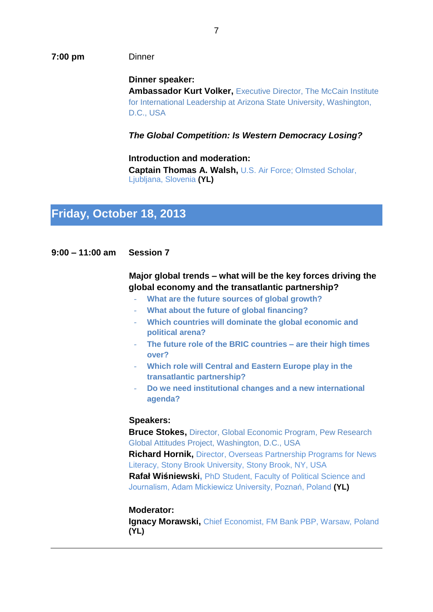#### **7:00 pm** Dinner

**Dinner speaker: Ambassador Kurt Volker,** Executive Director, The McCain Institute for International Leadership at Arizona State University, Washington, D.C., USA

*The Global Competition: Is Western Democracy Losing?*

**Introduction and moderation: Captain Thomas A. Walsh,** U.S. Air Force; Olmsted Scholar, Ljubljana, Slovenia **(YL)**

# **Friday, October 18, 2013**

## **9:00 – 11:00 am Session 7**

## **Major global trends – what will be the key forces driving the global economy and the transatlantic partnership?**

- **What are the future sources of global growth?**
- **What about the future of global financing?**
- **Which countries will dominate the global economic and political arena?**
- **The future role of the BRIC countries – are their high times over?**
- **Which role will Central and Eastern Europe play in the transatlantic partnership?**
- **Do we need institutional changes and a new international agenda?**

#### **Speakers:**

**Bruce Stokes,** Director, Global Economic Program, Pew Research Global Attitudes Project, Washington, D.C., USA **Richard Hornik,** Director, Overseas Partnership Programs for News Literacy, Stony Brook University, Stony Brook, NY, USA **Rafał Wiśniewski,** PhD Student, Faculty of Political Science and Journalism, Adam Mickiewicz University, Poznań, Poland **(YL)**

#### **Moderator:**

**Ignacy Morawski,** Chief Economist, FM Bank PBP, Warsaw, Poland **(YL)**